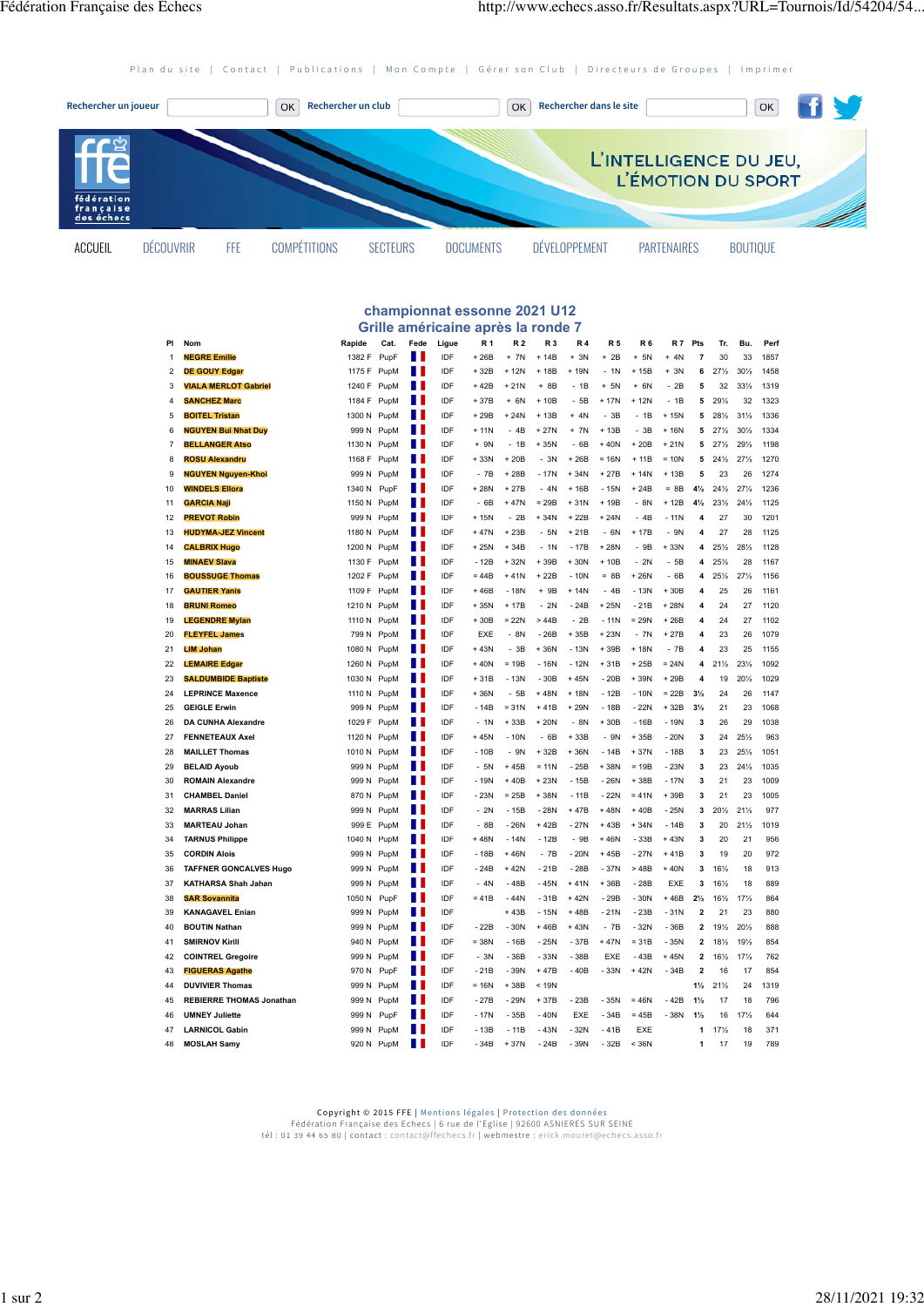[Plan du site](http://www.echecs.asso.fr/Plan.aspx) | [Contact](http://www.echecs.asso.fr/Default.aspx?Cat=50) | [Publications](http://www.echecs.asso.fr/Revues.aspx) | [Mon Compte](http://www.echecs.asso.fr/Connect.aspx) | [Gérer son Club](http://clubs.echecs.asso.fr/) | [Directeurs de Groupes](http://admin.echecs.asso.fr/) | [Imprimer](http://www.echecs.asso.fr/Print.aspx)



## **championnat essonne 2021 U12 Grille américaine après la ronde 7**

| PI                      | Nom                             | Rapide      | Cat.       | Fede | Ligue | <b>R1</b>            | <b>R2</b> | R <sub>3</sub> | <b>R4</b>               | <b>R5</b>      | R <sub>6</sub> | <b>R7</b> | Pts                     | Tr.             | Bu.             | Perf |
|-------------------------|---------------------------------|-------------|------------|------|-------|----------------------|-----------|----------------|-------------------------|----------------|----------------|-----------|-------------------------|-----------------|-----------------|------|
| 1                       | <b>NEGRE Emilie</b>             | 1382 F      | PupF       | П    | IDF   | $+26B$               | $+ 7N$    | $+14B$         | $+ 3N$                  | $+ 2B$         | $+ 5N$         | $+ 4N$    | 7                       | 30              | 33              | 1857 |
| $\overline{2}$          | <b>DE GOUY Edgar</b>            | 1175 F      | PupM       | Ш    | IDF   | $+32B$               | $+12N$    | + 18B          | $\ddot{}$<br><b>19N</b> | 1 <sub>N</sub> | $+15B$         | $+ 3N$    | 6                       | 27%             | 30%             | 1458 |
| 3                       | <b>VIALA MERLOT Gabriel</b>     | 1240 F      | PupM       | П    | IDF   | $+42B$               | $+21N$    | + 8B           | $-1B$                   | $+ 5N$         | $+ 6N$         | $-2B$     | 5                       | 32              | 331/2           | 1319 |
| $\overline{\mathbf{A}}$ | <b>SANCHEZ Marc</b>             | 1184 F      | PupM       | Ш    | IDF   | $+37B$               | $+ 6N$    | $+10B$         | $-5B$                   | $+ 17N$        | $+12N$         | $-1B$     | 5                       | 29%             | 32              | 1323 |
| 5                       | <b>BOITEL Tristan</b>           | 1300 N      | PupM       | Ш    | IDF   | $+29B$               | $+24N$    | $+13B$         | $+ 4N$                  | $-3B$          | $-1B$          | $+15N$    | 5                       | 281/2           | $31\frac{1}{2}$ | 1336 |
| 6                       | <b>NGUYEN Bui Nhat Duy</b>      | 999 N       | PupM       | П    | IDF   | $+11N$               | $-4B$     | $+27N$         | $+ 7N$                  | $+13B$         | 3B<br>ä,       | $+16N$    | 5                       | 27%             | 30%             | 1334 |
| $\overline{7}$          | <b>BELLANGER Atso</b>           | 1130 N      | PupM       | П    | IDF   | $+ 9N$               | $-1B$     | $+35N$         | $-6B$                   | $+40N$         | $+20B$         | $+21N$    | 5                       | 27%             | 291/2           | 1198 |
| 8                       | <b>ROSU Alexandru</b>           | 1168 F      | PupM       | Н    | IDF   | $+33N$               | $+20B$    | $-3N$          | $+26B$                  | $= 16N$        | $+11B$         | $= 10N$   | 5                       | $24\frac{1}{2}$ | 27%             | 1270 |
| 9                       | <b>NGUYEN Nguyen-Khoi</b>       | 999 N       | PupM       | Ш    | IDF   | $-7B$                | $+28B$    | $-17N$         | $+34N$                  | $+27B$         | $+14N$         | $+13B$    | 5                       | 23              | 26              | 1274 |
| 10                      | <b>WINDELS Ellora</b>           | 1340 N      | PupF       | Ш    | IDF   | $+28N$               | $+27B$    | $-4N$          | $+16B$                  | $-15N$         | $+24B$         | $= 8B$    | $4\frac{1}{2}$          | 24%             | 27%             | 1236 |
| 11                      | <b>GARCIA Naji</b>              | 1150 N      | PupM       | П    | IDF   | 6B<br>$\overline{a}$ | $+47N$    | $= 29B$        | $+31N$                  | $+19B$         | $-8N$          | $+12B$    | $4\frac{1}{2}$          | 231/2           | 24%             | 1125 |
| 12                      | <b>PREVOT Robin</b>             | 999 N       | PupM       |      | IDF   | $+15N$               | $-2B$     | $+34N$         | $+22B$                  | $+24N$         | $-4B$          | $-11N$    | $\overline{a}$          | 27              | 30              | 1201 |
| 13                      | <b>HUDYMA-JEZ Vincent</b>       | 1180 N      | PupM       | Ш    | IDF   | $+47N$               | $+23B$    | $-5N$          | $+21B$                  | $-6N$          | $+17B$         | $-9N$     | $\overline{\mathbf{4}}$ | 27              | 28              | 1125 |
| 14                      | <b>CALBRIX Hugo</b>             | 1200 N      | PupM       |      | IDF   | $+25N$               | $+34B$    | $-1N$          | $-17B$                  | $+28N$         | $-9B$          | $+33N$    | $\overline{\mathbf{4}}$ | $25\frac{1}{2}$ | 281/2           | 1128 |
| 15                      | <b>MINAEV Slava</b>             | 1130 F      | PupM       | Ш    | IDF   | - 12B                | $+32N$    | +39B           | $+30N$                  | + 10B          | $-2N$          | $-5B$     | $\overline{\mathbf{4}}$ | $25\frac{1}{2}$ | 28              | 1167 |
| 16                      | <b>BOUSSUGE Thomas</b>          | 1202 F      | PupM       | П    | IDF   | $= 44B$              | $+41N$    | $+22B$         | $-10N$                  | $= 8B$         | $+26N$         | $-6B$     | $\overline{\mathbf{4}}$ | 251/2           | 27%             | 1156 |
| 17                      | <b>GAUTIER Yanis</b>            | 1109 F      | PupM       | П    | IDF   | $+46B$               | $-18N$    | $+9B$          | $+14N$                  | $-4B$          | $-13N$         | $+30B$    | $\overline{\mathbf{4}}$ | 25              | 26              | 1161 |
| 18                      | <b>BRUNI Romeo</b>              | 1210 N PupM |            | П    | IDF   | $+35N$               | $+17B$    | $-2N$          | $-24B$                  | $+25N$         | $-21B$         | $+28N$    | $\overline{\mathbf{4}}$ | 24              | 27              | 1120 |
| 19                      | <b>LEGENDRE Mylan</b>           | 1110 N      | PupM       | Ш    | IDF   | $+30B$               | $= 22N$   | >44B           | $-2B$                   | $-11N$         | $= 29N$        | $+26B$    | $\overline{\mathbf{4}}$ | 24              | 27              | 1102 |
| 20                      | <b>FLEYFEL James</b>            | 799 N       | PpoM       | Ш    | IDF   | <b>EXE</b>           | $-8N$     | $-26B$         | $+35B$                  | $+23N$         | $-7N$          | $+27B$    | $\overline{\mathbf{4}}$ | 23              | 26              | 1079 |
| 21                      | <b>LIM Johan</b>                | 1080N       | PupM       | П    | IDF   | $+43N$               | $-3B$     | $+36N$         | $-13N$                  | $+39B$         | $+18N$         | $-7B$     | $\overline{\mathbf{4}}$ | 23              | 25              | 1155 |
| 22                      | <b>LEMAIRE Edgar</b>            | 1260 N      | PupM       | Ш    | IDF   | $+40N$               | $= 19B$   | $-16N$         | $-12N$                  | $+31B$         | $+25B$         | $= 24N$   | $\overline{\mathbf{4}}$ | $21\frac{1}{2}$ | 231/2           | 1092 |
| 23                      | <b>SALDUMBIDE Baptiste</b>      | 1030 N      | PupM       | Н    | IDF   | $+31B$               | $-13N$    | $-30B$         | $+45N$                  | $-20B$         | $+39N$         | $+29B$    | $\overline{4}$          | 19              | 201/2           | 1029 |
| 24                      | <b>LEPRINCE Maxence</b>         | 1110 N      | PupM       | Ш    | IDF   | $+36N$               | $-5B$     | $+48N$         | $+18N$                  | $-12B$         | $-10N$         | $= 22B$   | $3\frac{1}{2}$          | 24              | 26              | 1147 |
| 25                      | <b>GEIGLE Erwin</b>             | 999 N       | PupM       | Ш    | IDF   | $-14B$               | $= 31N$   | $+41B$         | $+29N$                  | $-18B$         | $-22N$         | $+32B$    | $3\frac{1}{2}$          | 21              | 23              | 1068 |
| 26                      | <b>DA CUNHA Alexandre</b>       | 1029 F      | PupM       | Ш    | IDF   | $-1N$                | $+33B$    | $+20N$         | $ 8N$                   | $+30B$         | $-16B$         | $-19N$    | $\overline{\mathbf{3}}$ | 26              | 29              | 1038 |
| 27                      | <b>FENNETEAUX Axel</b>          | 1120 N      | PupM       |      | IDF   | $+45N$               | $-10N$    | $-6B$          | $+33B$                  | $-9N$          | $+35B$         | $-20N$    | 3                       | 24              | 251/2           | 963  |
| 28                      | <b>MAILLET Thomas</b>           | 1010N       | PupM       | П    | IDF   | $-10B$               | $-9N$     | $+32B$         | $+36N$                  | $-14B$         | $+37N$         | $-18B$    | 3                       | 23              | 25%             | 1051 |
| 29                      | <b>BELAID Ayoub</b>             | 999 N       | PupM       | Ш    | IDF   | $-5N$                | $+45B$    | $= 11N$        | $-25B$                  | $+38N$         | $= 19B$        | $-23N$    | 3                       | 23              | 24%             | 1035 |
| 30                      | <b>ROMAIN Alexandre</b>         | 999 N       | PupM       | П    | IDF   | - 19N                | $+40B$    | $+23N$         | $-15B$                  | $-26N$         | +38B           | $-17N$    | 3                       | 21              | 23              | 1009 |
| 31                      | <b>CHAMBEL Daniel</b>           | 870N        | PupM       | Ш    | IDF   | $-23N$               | $= 25B$   | $+38N$         | $-11B$                  | $-22N$         | $= 41N$        | $+39B$    | 3                       | 21              | 23              | 1005 |
| 32                      | <b>MARRAS Lilian</b>            | 999 N       | PupM       | Ш    | IDF   | $-2N$                | $-15B$    | $-28N$         | $+47B$                  | $+48N$         | $+40B$         | $-25N$    | 3                       | 201/2           | 21%             | 977  |
| 33                      | <b>MARTEAU Johan</b>            |             | 999 E PupM | Ш    | IDF   | $-8B$                | $-26N$    | $+42B$         | $-27N$                  | $+43B$         | $+34N$         | $-14B$    | $\overline{\mathbf{3}}$ | 20              | $21\frac{1}{2}$ | 1019 |
| 34                      | <b>TARNUS Philippe</b>          | 1040 N      | PupM       | Ш    | IDF   | $+48N$               | $-14N$    | $-12B$         | $-9B$                   | $+46N$         | $-33B$         | $+43N$    | $\overline{\mathbf{3}}$ | 20              | 21              | 956  |
| 35                      | <b>CORDIN Alois</b>             | 999 N       | PupM       | П    | IDF   | $-18B$               | $+46N$    | $-7B$          | $-20N$                  | $+45B$         | $-27N$         | $+41B$    | 3                       | 19              | 20              | 972  |
| 36                      | <b>TAFFNER GONCALVES Hugo</b>   | 999 N       | PupM       | Ш    | IDF   | $-24B$               | $+42N$    | $-21B$         | $-28B$                  | $-37N$         | >48B           | $+40N$    | 3                       | 161/2           | 18              | 913  |
| 37                      | <b>KATHARSA Shah Jahan</b>      | 999 N       | PupM       | Ш    | IDF   | $-4N$                | $-48B$    | $-45N$         | $+41N$                  | $+36B$         | $-28B$         | EXE       | 3                       | 161/2           | 18              | 889  |
| 38                      | <b>SAR Sovannita</b>            | 1050N       | PupF       | П    | IDF   | $= 41B$              | $-44N$    | $-31B$         | $+42N$                  | $-29B$         | $-30N$         | $+46B$    | $2\frac{1}{2}$          | 161/2           | 17%             | 864  |
| 39                      | <b>KANAGAVEL Enian</b>          | 999 N       | PupM       | Ш    | IDF   |                      | $+43B$    | $-15N$         | +48B                    | $-21N$         | $-23B$         | $-31N$    | $\overline{2}$          | 21              | 23              | 880  |
| 40                      | <b>BOUTIN Nathan</b>            | 999 N       | PupM       | Н    | IDF   | $-22B$               | $-30N$    | $+46B$         | $+43N$                  | $-7B$          | $-32N$         | $-36B$    | $\overline{\mathbf{2}}$ | 191/2           | 20%             | 888  |
| 41                      | <b>SMIRNOV Kirill</b>           | 940 N       | PupM       | Ш    | IDF   | $= 38N$              | $-16B$    | $-25N$         | $-37B$                  | $+47N$         | $= 31B$        | $-35N$    | $\overline{2}$          | 181/2           | 19%             | 854  |
| 42                      | <b>COINTREL Gregoire</b>        | 999 N       | PupM       |      | IDF   | $-3N$                | $-36B$    | $-33N$         | $-38B$                  | EXE            | $-43B$         | $+45N$    | $\overline{\mathbf{c}}$ | 161/2           | 17%             | 762  |
| 43                      | <b>FIGUERAS Agathe</b>          | 970N        | PupF       | Ш    | IDF   | $-21B$               | $-39N$    | $+47B$         | $-40B$                  | $-33N$         | $+42N$         | $-34B$    | $\overline{2}$          | 16              | 17              | 854  |
| 44                      | <b>DUVIVIER Thomas</b>          | 999 N       | PupM       | Ш    | IDF   | $= 16N$              | +38B      | < 19N          |                         |                |                |           | $1\frac{1}{2}$          | 21%             | 24              | 1319 |
| 45                      | <b>REBIERRE THOMAS Jonathan</b> | 999 N       | PupM       | П    | IDF   | $-27B$               | $-29N$    | +37B           | $-23B$                  | $-35N$         | $= 46N$        | $-42B$    | $1\frac{1}{2}$          | 17              | 18              | 796  |
| 46                      | <b>UMNEY Juliette</b>           | 999 N       | PupF       |      | IDF   | $-17N$               | $-35B$    | $-40N$         | EXE                     | $-34B$         | $= 45B$        | $-38N$    | $1\frac{1}{2}$          | 16              | 17%             | 644  |
| 47                      | <b>LARNICOL Gabin</b>           | 999 N       | PupM       | Ш    | IDF   | $-13B$               | $-11B$    | $-43N$         | $-32N$                  | $-41B$         | <b>EXE</b>     |           | 1                       | 17%             | 18              | 371  |
| 48                      | <b>MOSLAH Samv</b>              |             | 920 N PupM | Ш    | IDF   | $-34B$               | $+37N$    | $-24B$         | $-39N$                  | $-32B$         | < 36N          |           | 1                       | 17              | 19              | 789  |

C**opyright © 2015 FFE |** [Mentions légales](http://www.echecs.asso.fr/Ag/Mentions_legales_FFE.pdf) | [Protection des données](http://www.echecs.asso.fr/Ag/RGPD.pdf)<br>Fédération Française des Echecs | 6 rue de l'Eglise | 92600 ASNIERES SUR SEINE<br>tél : 01 39 44 65 80 | contact : [contact@ffechecs.fr](mailto:contact@ffechecs.fr) | webmestre : erick.mo